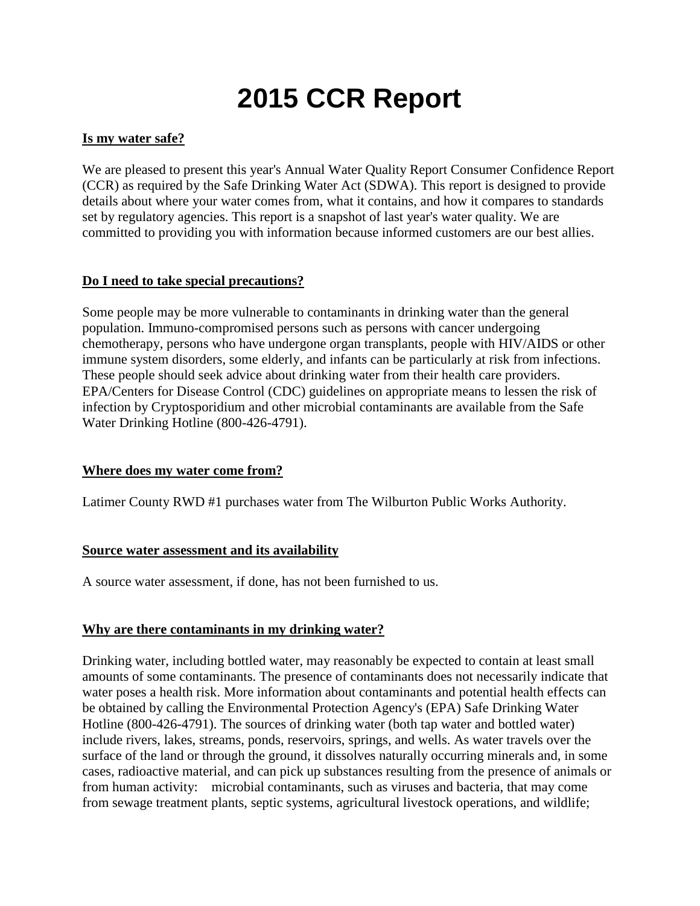# **2015 CCR Report**

# **Is my water safe?**

We are pleased to present this year's Annual Water Quality Report Consumer Confidence Report (CCR) as required by the Safe Drinking Water Act (SDWA). This report is designed to provide details about where your water comes from, what it contains, and how it compares to standards set by regulatory agencies. This report is a snapshot of last year's water quality. We are committed to providing you with information because informed customers are our best allies.

# **Do I need to take special precautions?**

Some people may be more vulnerable to contaminants in drinking water than the general population. Immuno-compromised persons such as persons with cancer undergoing chemotherapy, persons who have undergone organ transplants, people with HIV/AIDS or other immune system disorders, some elderly, and infants can be particularly at risk from infections. These people should seek advice about drinking water from their health care providers. EPA/Centers for Disease Control (CDC) guidelines on appropriate means to lessen the risk of infection by Cryptosporidium and other microbial contaminants are available from the Safe Water Drinking Hotline (800-426-4791).

#### **Where does my water come from?**

Latimer County RWD #1 purchases water from The Wilburton Public Works Authority.

#### **Source water assessment and its availability**

A source water assessment, if done, has not been furnished to us.

#### **Why are there contaminants in my drinking water?**

Drinking water, including bottled water, may reasonably be expected to contain at least small amounts of some contaminants. The presence of contaminants does not necessarily indicate that water poses a health risk. More information about contaminants and potential health effects can be obtained by calling the Environmental Protection Agency's (EPA) Safe Drinking Water Hotline (800-426-4791). The sources of drinking water (both tap water and bottled water) include rivers, lakes, streams, ponds, reservoirs, springs, and wells. As water travels over the surface of the land or through the ground, it dissolves naturally occurring minerals and, in some cases, radioactive material, and can pick up substances resulting from the presence of animals or from human activity: microbial contaminants, such as viruses and bacteria, that may come from sewage treatment plants, septic systems, agricultural livestock operations, and wildlife;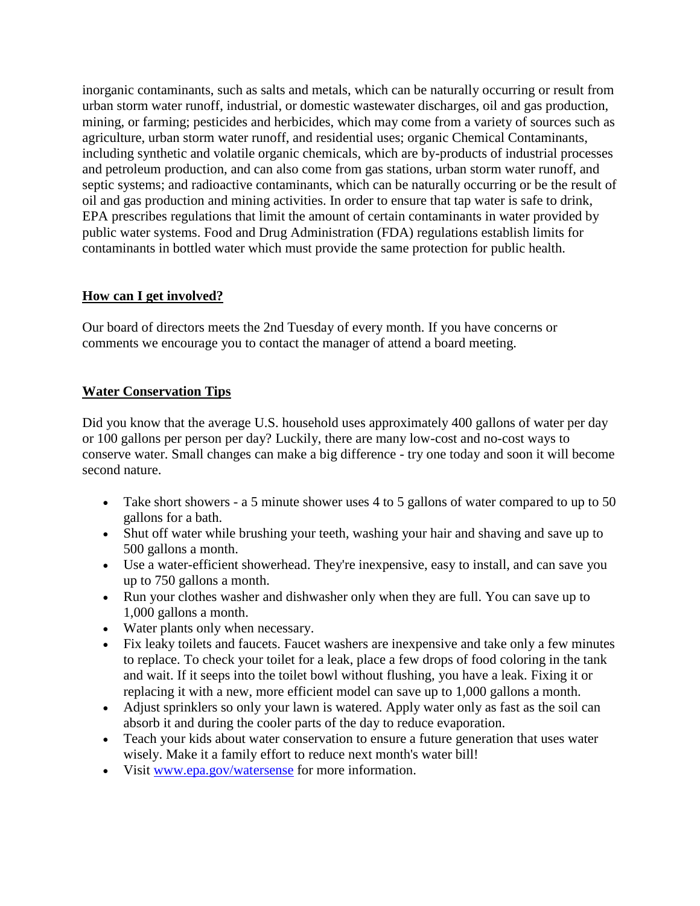inorganic contaminants, such as salts and metals, which can be naturally occurring or result from urban storm water runoff, industrial, or domestic wastewater discharges, oil and gas production, mining, or farming; pesticides and herbicides, which may come from a variety of sources such as agriculture, urban storm water runoff, and residential uses; organic Chemical Contaminants, including synthetic and volatile organic chemicals, which are by-products of industrial processes and petroleum production, and can also come from gas stations, urban storm water runoff, and septic systems; and radioactive contaminants, which can be naturally occurring or be the result of oil and gas production and mining activities. In order to ensure that tap water is safe to drink, EPA prescribes regulations that limit the amount of certain contaminants in water provided by public water systems. Food and Drug Administration (FDA) regulations establish limits for contaminants in bottled water which must provide the same protection for public health.

# **How can I get involved?**

Our board of directors meets the 2nd Tuesday of every month. If you have concerns or comments we encourage you to contact the manager of attend a board meeting.

# **Water Conservation Tips**

Did you know that the average U.S. household uses approximately 400 gallons of water per day or 100 gallons per person per day? Luckily, there are many low-cost and no-cost ways to conserve water. Small changes can make a big difference - try one today and soon it will become second nature.

- Take short showers a 5 minute shower uses 4 to 5 gallons of water compared to up to 50 gallons for a bath.
- Shut off water while brushing your teeth, washing your hair and shaving and save up to 500 gallons a month.
- Use a water-efficient showerhead. They're inexpensive, easy to install, and can save you up to 750 gallons a month.
- Run your clothes washer and dishwasher only when they are full. You can save up to 1,000 gallons a month.
- Water plants only when necessary.
- Fix leaky toilets and faucets. Faucet washers are inexpensive and take only a few minutes to replace. To check your toilet for a leak, place a few drops of food coloring in the tank and wait. If it seeps into the toilet bowl without flushing, you have a leak. Fixing it or replacing it with a new, more efficient model can save up to 1,000 gallons a month.
- Adjust sprinklers so only your lawn is watered. Apply water only as fast as the soil can absorb it and during the cooler parts of the day to reduce evaporation.
- Teach your kids about water conservation to ensure a future generation that uses water wisely. Make it a family effort to reduce next month's water bill!
- Visit [www.epa.gov/watersense](http://www.epa.gov/watersense) for more information.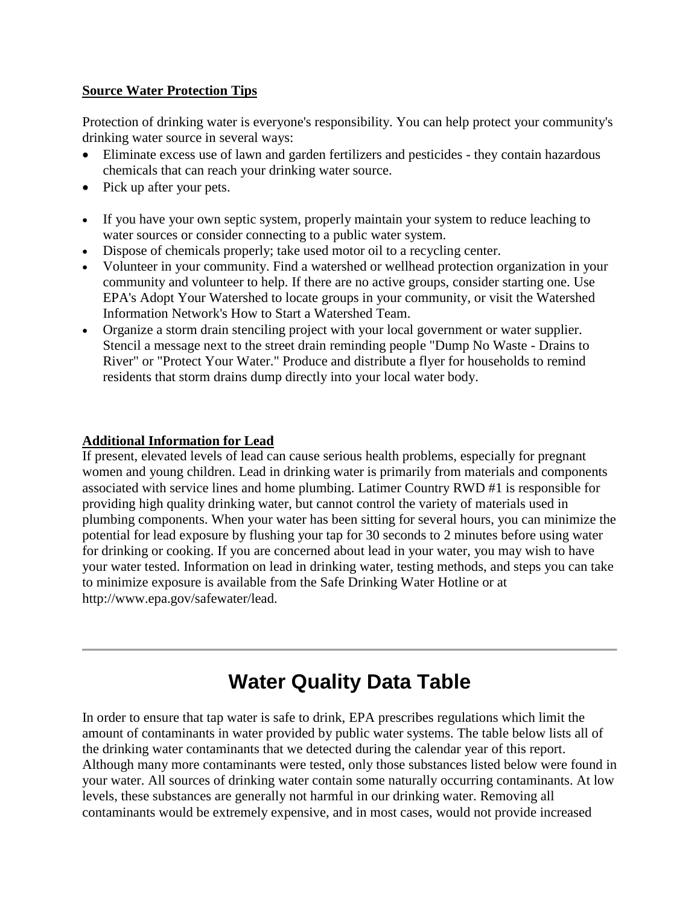## **Source Water Protection Tips**

Protection of drinking water is everyone's responsibility. You can help protect your community's drinking water source in several ways:

- Eliminate excess use of lawn and garden fertilizers and pesticides they contain hazardous chemicals that can reach your drinking water source.
- Pick up after your pets.
- If you have your own septic system, properly maintain your system to reduce leaching to water sources or consider connecting to a public water system.
- Dispose of chemicals properly; take used motor oil to a recycling center.
- Volunteer in your community. Find a watershed or wellhead protection organization in your community and volunteer to help. If there are no active groups, consider starting one. Use EPA's Adopt Your Watershed to locate groups in your community, or visit the Watershed Information Network's How to Start a Watershed Team.
- Organize a storm drain stenciling project with your local government or water supplier. Stencil a message next to the street drain reminding people "Dump No Waste - Drains to River" or "Protect Your Water." Produce and distribute a flyer for households to remind residents that storm drains dump directly into your local water body.

## **Additional Information for Lead**

If present, elevated levels of lead can cause serious health problems, especially for pregnant women and young children. Lead in drinking water is primarily from materials and components associated with service lines and home plumbing. Latimer Country RWD #1 is responsible for providing high quality drinking water, but cannot control the variety of materials used in plumbing components. When your water has been sitting for several hours, you can minimize the potential for lead exposure by flushing your tap for 30 seconds to 2 minutes before using water for drinking or cooking. If you are concerned about lead in your water, you may wish to have your water tested. Information on lead in drinking water, testing methods, and steps you can take to minimize exposure is available from the Safe Drinking Water Hotline or at http://www.epa.gov/safewater/lead.

# **Water Quality Data Table**

In order to ensure that tap water is safe to drink, EPA prescribes regulations which limit the amount of contaminants in water provided by public water systems. The table below lists all of the drinking water contaminants that we detected during the calendar year of this report. Although many more contaminants were tested, only those substances listed below were found in your water. All sources of drinking water contain some naturally occurring contaminants. At low levels, these substances are generally not harmful in our drinking water. Removing all contaminants would be extremely expensive, and in most cases, would not provide increased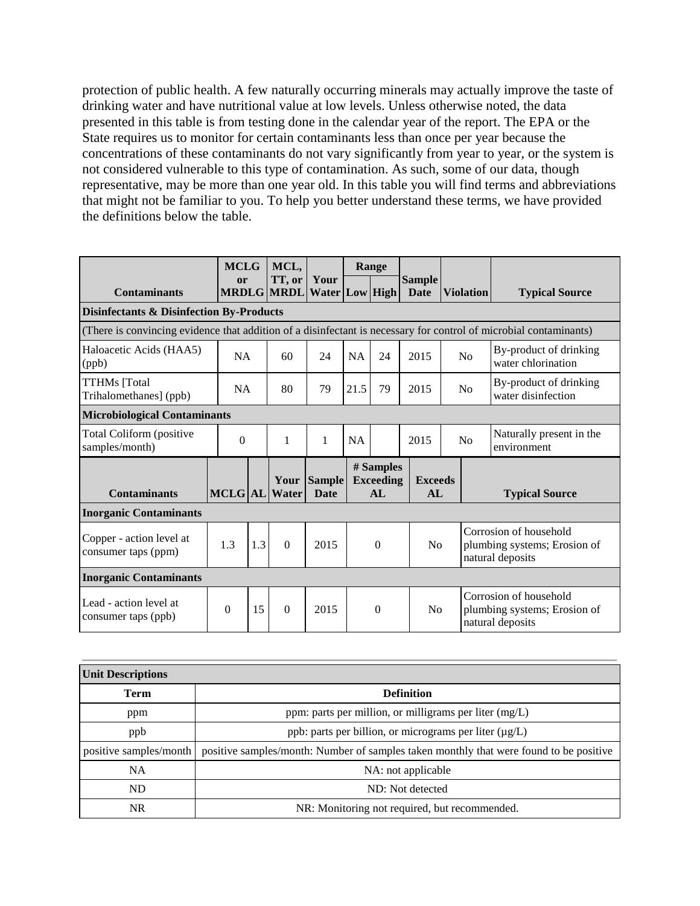protection of public health. A few naturally occurring minerals may actually improve the taste of drinking water and have nutritional value at low levels. Unless otherwise noted, the data presented in this table is from testing done in the calendar year of the report. The EPA or the State requires us to monitor for certain contaminants less than once per year because the concentrations of these contaminants do not vary significantly from year to year, or the system is not considered vulnerable to this type of contamination. As such, some of our data, though representative, may be more than one year old. In this table you will find terms and abbreviations that might not be familiar to you. To help you better understand these terms, we have provided the definitions below the table.

|                                                                                                                   |           | <b>MCLG</b> |                             |                               | Range     |                                      |                              |           |                                                                            |                                              |  |  |
|-------------------------------------------------------------------------------------------------------------------|-----------|-------------|-----------------------------|-------------------------------|-----------|--------------------------------------|------------------------------|-----------|----------------------------------------------------------------------------|----------------------------------------------|--|--|
| <b>Contaminants</b>                                                                                               | or        |             | TT, or<br><b>MRDLG MRDL</b> | Your<br><b>Water Low High</b> |           |                                      | <b>Sample</b><br><b>Date</b> | Violation |                                                                            | <b>Typical Source</b>                        |  |  |
| <b>Disinfectants &amp; Disinfection By-Products</b>                                                               |           |             |                             |                               |           |                                      |                              |           |                                                                            |                                              |  |  |
| (There is convincing evidence that addition of a disinfectant is necessary for control of microbial contaminants) |           |             |                             |                               |           |                                      |                              |           |                                                                            |                                              |  |  |
| Haloacetic Acids (HAA5)<br>(ppb)                                                                                  | <b>NA</b> |             | 60                          | 24                            | <b>NA</b> | 24                                   | 2015                         | No        |                                                                            | By-product of drinking<br>water chlorination |  |  |
| <b>TTHMs</b> [Total<br>Trihalomethanes] (ppb)                                                                     |           | <b>NA</b>   |                             | 79                            | 21.5      | 79                                   | 2015                         | No        |                                                                            | By-product of drinking<br>water disinfection |  |  |
| <b>Microbiological Contaminants</b>                                                                               |           |             |                             |                               |           |                                      |                              |           |                                                                            |                                              |  |  |
| Total Coliform (positive<br>samples/month)                                                                        | $\Omega$  |             | $\mathbf{1}$                | 1                             |           |                                      | 2015                         | No        |                                                                            | Naturally present in the<br>environment      |  |  |
| <b>Contaminants</b>                                                                                               | MCLG AL   |             | Your<br><b>Water</b>        | <b>Sample</b><br><b>Date</b>  |           | # Samples<br><b>Exceeding</b><br>AI. | <b>Exceeds</b><br>AL         |           |                                                                            | <b>Typical Source</b>                        |  |  |
| <b>Inorganic Contaminants</b>                                                                                     |           |             |                             |                               |           |                                      |                              |           |                                                                            |                                              |  |  |
| Copper - action level at<br>consumer taps (ppm)                                                                   | 1.3       | 1.3         | $\Omega$                    | 2015                          |           | $\Omega$                             |                              | No        | Corrosion of household<br>plumbing systems; Erosion of<br>natural deposits |                                              |  |  |
| <b>Inorganic Contaminants</b>                                                                                     |           |             |                             |                               |           |                                      |                              |           |                                                                            |                                              |  |  |
| Lead - action level at<br>consumer taps (ppb)                                                                     | $\Omega$  | 15          | $\Omega$                    | 2015                          |           | $\Omega$                             | No                           |           | Corrosion of household<br>plumbing systems; Erosion of<br>natural deposits |                                              |  |  |

| <b>Unit Descriptions</b> |                                                                                        |  |  |  |  |  |
|--------------------------|----------------------------------------------------------------------------------------|--|--|--|--|--|
| Term                     | <b>Definition</b>                                                                      |  |  |  |  |  |
| ppm                      | ppm: parts per million, or milligrams per liter $(mg/L)$                               |  |  |  |  |  |
| ppb                      | ppb: parts per billion, or micrograms per liter (µg/L)                                 |  |  |  |  |  |
| positive samples/month   | positive samples/month: Number of samples taken monthly that were found to be positive |  |  |  |  |  |
| <b>NA</b>                | NA: not applicable                                                                     |  |  |  |  |  |
| ND.                      | ND: Not detected                                                                       |  |  |  |  |  |
| NR                       | NR: Monitoring not required, but recommended.                                          |  |  |  |  |  |